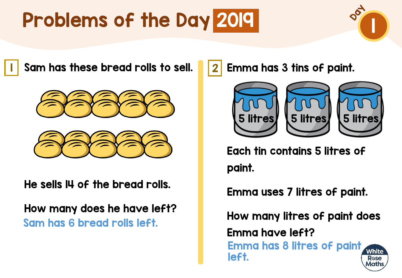

I Sam has these bread rolls to sell. 2





He sells 14 of the bread rolls.

How many does he have left? Sam has 6 bread rolls left.

Emma has 3 tins of paint.



Each tin contains 5 litres of paint.

Emma uses 7 litres of paint.

How many litres of paint does

Emma have left?

Emma has 8 litres of paint **White** left. Rose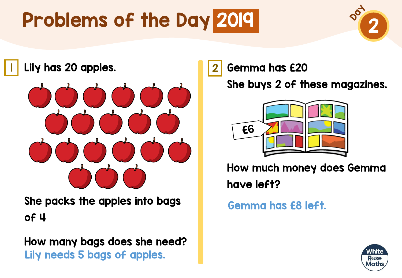

<mark>l</mark> Lily has 20 apples. The same of  $\vert 2 \vert$ 



She packs the apples into bags of 4

How many bags does she need? Lily needs 5 bags of apples.

Gemma has £20

She buys 2 of these magazines.



How much money does Gemma have left?

Gemma has £8 left.

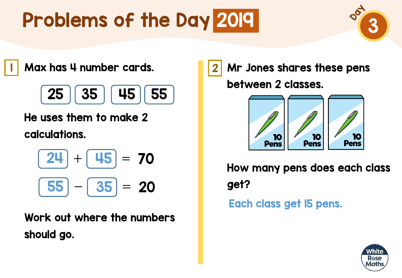

<mark>I</mark> Max has 4 number cards. The Research Research 12



He uses them to make 2 calculations.

$$
\boxed{24} + \boxed{45} = 70
$$
  

$$
\boxed{55} - \boxed{35} = 20
$$

Work out where the numbers should go.

Mr Jones shares these pens between 2 classes.



How many pens does each class get? Each class get 15 pens.

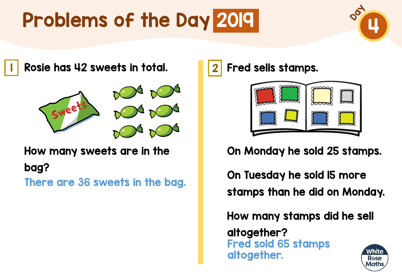

<mark>l</mark> Rosie has 42 sweets in total. <mark>1</mark>2



How many sweets are in the

bag?

There are 36 sweets in the bag.

Fred sells stamps.



On Monday he sold 25 stamps.

On Tuesday he sold 15 more stamps than he did on Monday.

How many stamps did he sell

altogether? Fred sold 65 stamps altogether.

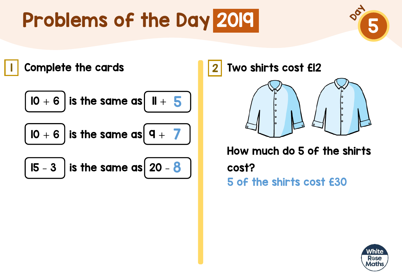

I Complete the cards **1996** 2

$$
\overline{\mathsf{IO}} + \overline{\mathsf{6}} \bigg \} \text{ is the } \,
$$

e same as **11 s** 



10  $+$  6  $\vert$  is the same as  $\vert$  9  $+$   $\vert$   $\vert$ 

15  $-$  3  $\,$  is the same as  $\,$  20  $\bf 8$ 



Two shirts cost £12



How much do 5 of the shirts cost? 5 of the shirts cost £30

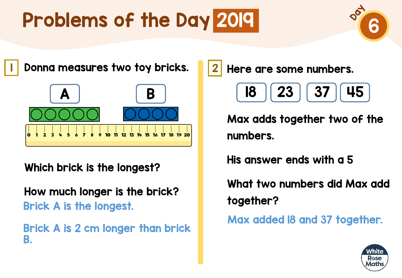

<mark>l</mark> Donna measures two toy bricks. 12



### Which brick is the longest?

How much longer is the brick? Brick A is the longest.

Brick A is 2 cm longer than brick B.

Here are some numbers.

$$
\begin{array}{|c|c|c|}\hline \textbf{18} & \textbf{23} & \textbf{37} & \textbf{45} \\ \hline \end{array}
$$

Max adds together two of the numbers.

His answer ends with a 5

What two numbers did Max add together?

Max added 18 and 37 together.

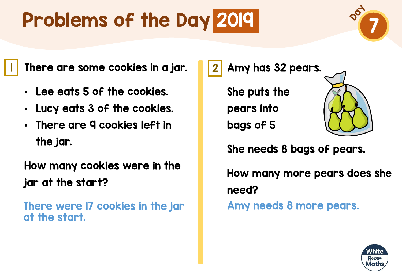7

 $\blacksquare$  There are some cookies in a jar.  $\blacksquare\hspace{-0.2cm}|\hspace{0.2cm}2$ 

- Lee eats 5 of the cookies.
- Lucy eats 3 of the cookies.
- There are 9 cookies left in the jar.

How many cookies were in the jar at the start?

There were 17 cookies in the jar at the start.

Amy has 32 pears.

She puts the pears into bags of 5



She needs 8 bags of pears.

How many more pears does she need?

Amy needs 8 more pears.

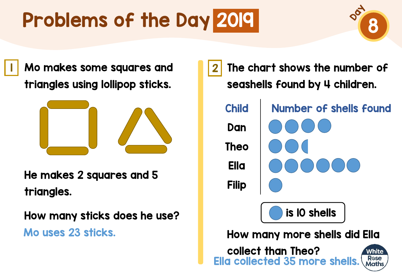**8** 

I Mo makes some squares and **1**2 triangles using lollipop sticks.



He makes 2 squares and 5 triangles.

How many sticks does he use?

Mo uses 23 sticks.

The chart shows the number of seashells found by 4 children. Child Number of shells found Dan Theo Ella Filip is 10 shells How many more shells did Ella collect than Theo? White **R**ose Ella collected 35 more shells.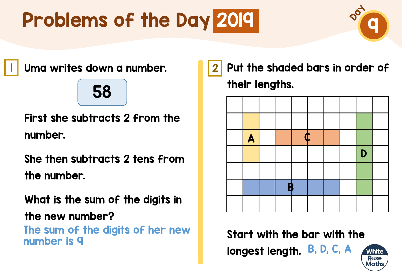

Uma writes down a number. 1 2

### 58

First she subtracts 2 from the number.

She then subtracts 2 tens from the number.

What is the sum of the digits in

the new number?

The sum of the digits of her new

Put the shaded bars in order of their lengths.



Start with the bar with the number is 9 B, B, D, C, A B, D, C, A B, D, C, A

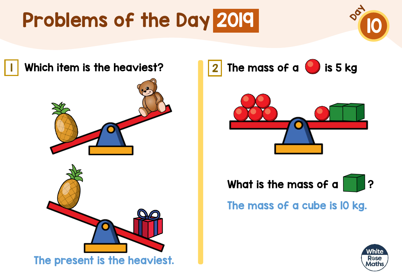



The mass of a  $\bigcirc$  is 5 kg





The mass of a cube is 10 kg.

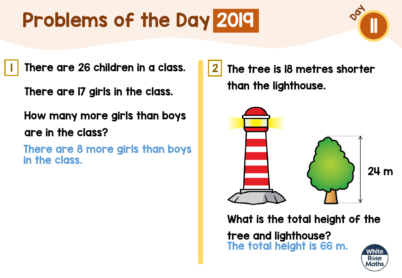I There are 26 children in a class. II 2

There are 17 girls in the class.

How many more girls than boys are in the class?

There are 8 more girls than boys in the class.

The tree is 18 metres shorter than the lighthouse.



What is the total height of the

tree and lighthouse? The total height is 66 m.

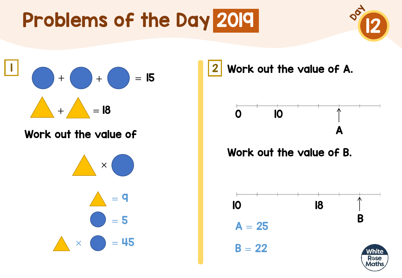



#### Work out the value of

 $\times$  (  $= 9$  $\bullet$  = 5  $\times$   $\bullet$  = 45 Work out the value of A.



#### Work out the value of B.

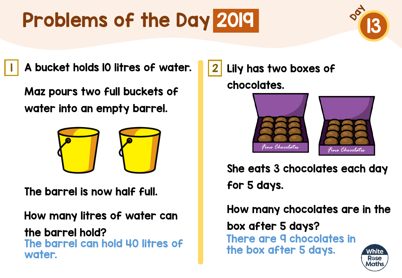

I A bucket holds 10 litres of water. 12

Maz pours two full buckets of water into an empty barrel.



The barrel is now half full.

How many litres of water can the barrel hold? The barrel can hold 40 litres of water.

Lily has two boxes of chocolates.



She eats 3 chocolates each day for 5 days.

How many chocolates are in the box after 5 days? There are 9 chocolates in the box after 5 days.Vhite Rose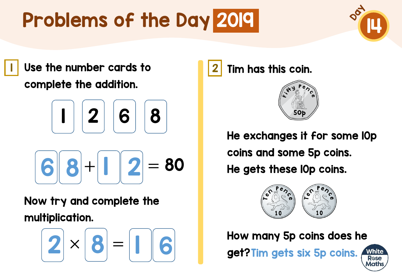

I Use the number cards to **12** 2 complete the addition.

$$
\begin{array}{|c|c|}\n\hline\n1 & 2 & 6 & 8 \\
\hline\n6 & 8 & 1 & 2 = 80\n\end{array}
$$

Now try and complete the multiplication.

$$
2 \times 8 = 06
$$

Tim has this coin.



He exchanges it for some 10p coins and some 5p coins. He gets these 10p coins.



How many 5p coins does he

get? Tim gets six 5p coins.

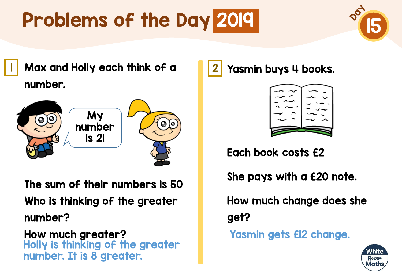

<mark>l</mark> Max and Holly each think of a **1**2 number.



The sum of their numbers is 50 Who is thinking of the greater number?

How much greater? Holly is thinking of the greater number. It is 8 greater.

Yasmin buys 4 books.



Each book costs £2

She pays with a £20 note.

How much change does she get?

Yasmin gets £12 change.

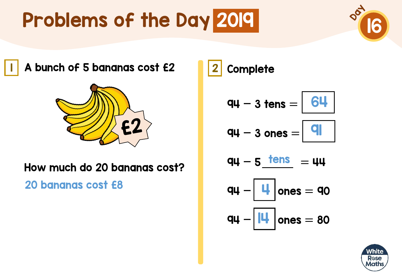

A bunch of 5 bananas cost £2 2



#### How much do 20 bananas cost?

20 bananas cost £8

**Complete** 

$$
qu - 3 tens = \boxed{64}
$$

$$
qq - 3 \text{ ones} = |q|
$$

$$
q\mu - 5 \underline{\underline{\hspace{1cm} \text{tens}}}\ = \mu\mu
$$

$$
q\mu - \boxed{4} \text{ ones} = q_0
$$

$$
q\mu - \boxed{|\mathbf{u}|} \text{ones} = 80
$$

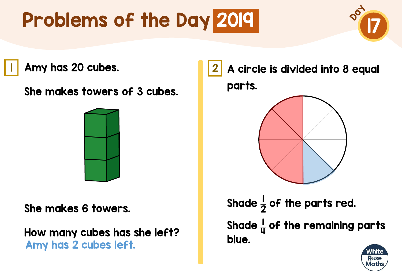Amy has 20 cubes. 1 2

She makes towers of 3 cubes.



She makes 6 towers.

How many cubes has she left? Amy has 2 cubes left.

A circle is divided into 8 equal parts.



Shade  $\frac{1}{2}$ 2 of the parts red. Shade  $\frac{1}{11}$ 4 of the remaining parts blue.

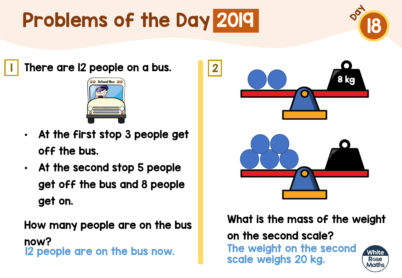

 $\blacksquare$  There are I2 people on a bus.  $\blacksquare$  2



- At the first stop 3 people get off the bus.
- At the second stop 5 people get off the bus and 8 people get on.

How many people are on the bus now? 12 people are on the bus now. The weight on the second



What is the mass of the weight

on the second scale?

scale weighs 20 kg.

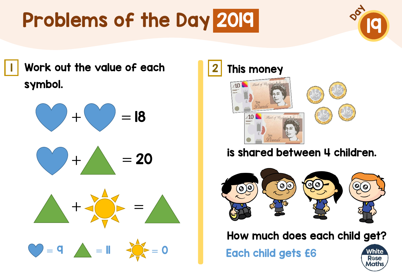

Work out the value of each 1 2 symbol.



$$
\bigcirc + \bigcirc = 20
$$







### is shared between 4 children.



How much does each child get?